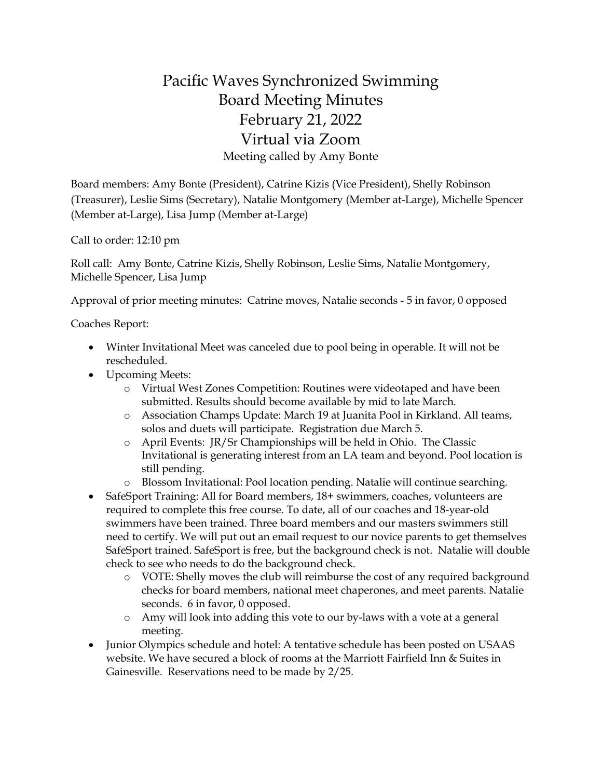## Pacific Waves Synchronized Swimming Board Meeting Minutes February 21, 2022 Virtual via Zoom Meeting called by Amy Bonte

Board members: Amy Bonte (President), Catrine Kizis (Vice President), Shelly Robinson (Treasurer), Leslie Sims (Secretary), Natalie Montgomery (Member at-Large), Michelle Spencer (Member at-Large), Lisa Jump (Member at-Large)

Call to order: 12:10 pm

Roll call: Amy Bonte, Catrine Kizis, Shelly Robinson, Leslie Sims, Natalie Montgomery, Michelle Spencer, Lisa Jump

Approval of prior meeting minutes: Catrine moves, Natalie seconds - 5 in favor, 0 opposed

Coaches Report:

- Winter Invitational Meet was canceled due to pool being in operable. It will not be rescheduled.
- Upcoming Meets:
	- o Virtual West Zones Competition: Routines were videotaped and have been submitted. Results should become available by mid to late March.
	- o Association Champs Update: March 19 at Juanita Pool in Kirkland. All teams, solos and duets will participate. Registration due March 5.
	- o April Events: JR/Sr Championships will be held in Ohio. The Classic Invitational is generating interest from an LA team and beyond. Pool location is still pending.
	- o Blossom Invitational: Pool location pending. Natalie will continue searching.
- SafeSport Training: All for Board members, 18+ swimmers, coaches, volunteers are required to complete this free course. To date, all of our coaches and 18-year-old swimmers have been trained. Three board members and our masters swimmers still need to certify. We will put out an email request to our novice parents to get themselves SafeSport trained. SafeSport is free, but the background check is not. Natalie will double check to see who needs to do the background check.
	- o VOTE: Shelly moves the club will reimburse the cost of any required background checks for board members, national meet chaperones, and meet parents. Natalie seconds. 6 in favor, 0 opposed.
	- o Amy will look into adding this vote to our by-laws with a vote at a general meeting.
- Junior Olympics schedule and hotel: A tentative schedule has been posted on USAAS website. We have secured a block of rooms at the Marriott Fairfield Inn & Suites in Gainesville. Reservations need to be made by 2/25.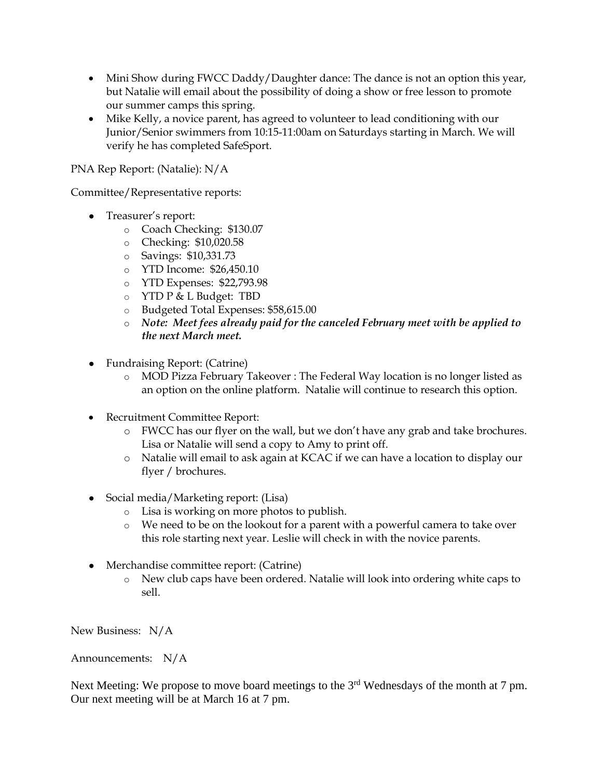- Mini Show during FWCC Daddy/Daughter dance: The dance is not an option this year, but Natalie will email about the possibility of doing a show or free lesson to promote our summer camps this spring.
- Mike Kelly, a novice parent, has agreed to volunteer to lead conditioning with our Junior/Senior swimmers from 10:15-11:00am on Saturdays starting in March. We will verify he has completed SafeSport.

PNA Rep Report: (Natalie): N/A

Committee/Representative reports:

- Treasurer's report:
	- o Coach Checking: \$130.07
	- o Checking: \$10,020.58
	- o Savings: \$10,331.73
	- o YTD Income: \$26,450.10
	- o YTD Expenses: \$22,793.98
	- o YTD P & L Budget: TBD
	- o Budgeted Total Expenses: \$58,615.00
	- o *Note: Meet fees already paid for the canceled February meet with be applied to the next March meet.*
- Fundraising Report: (Catrine)
	- o MOD Pizza February Takeover : The Federal Way location is no longer listed as an option on the online platform. Natalie will continue to research this option.
- Recruitment Committee Report:
	- o FWCC has our flyer on the wall, but we don't have any grab and take brochures. Lisa or Natalie will send a copy to Amy to print off.
	- o Natalie will email to ask again at KCAC if we can have a location to display our flyer / brochures.
- Social media/Marketing report: (Lisa)
	- o Lisa is working on more photos to publish.
	- o We need to be on the lookout for a parent with a powerful camera to take over this role starting next year. Leslie will check in with the novice parents.
- Merchandise committee report: (Catrine)
	- o New club caps have been ordered. Natalie will look into ordering white caps to sell.

New Business: N/A

Announcements: N/A

Next Meeting: We propose to move board meetings to the 3<sup>rd</sup> Wednesdays of the month at 7 pm. Our next meeting will be at March 16 at 7 pm.